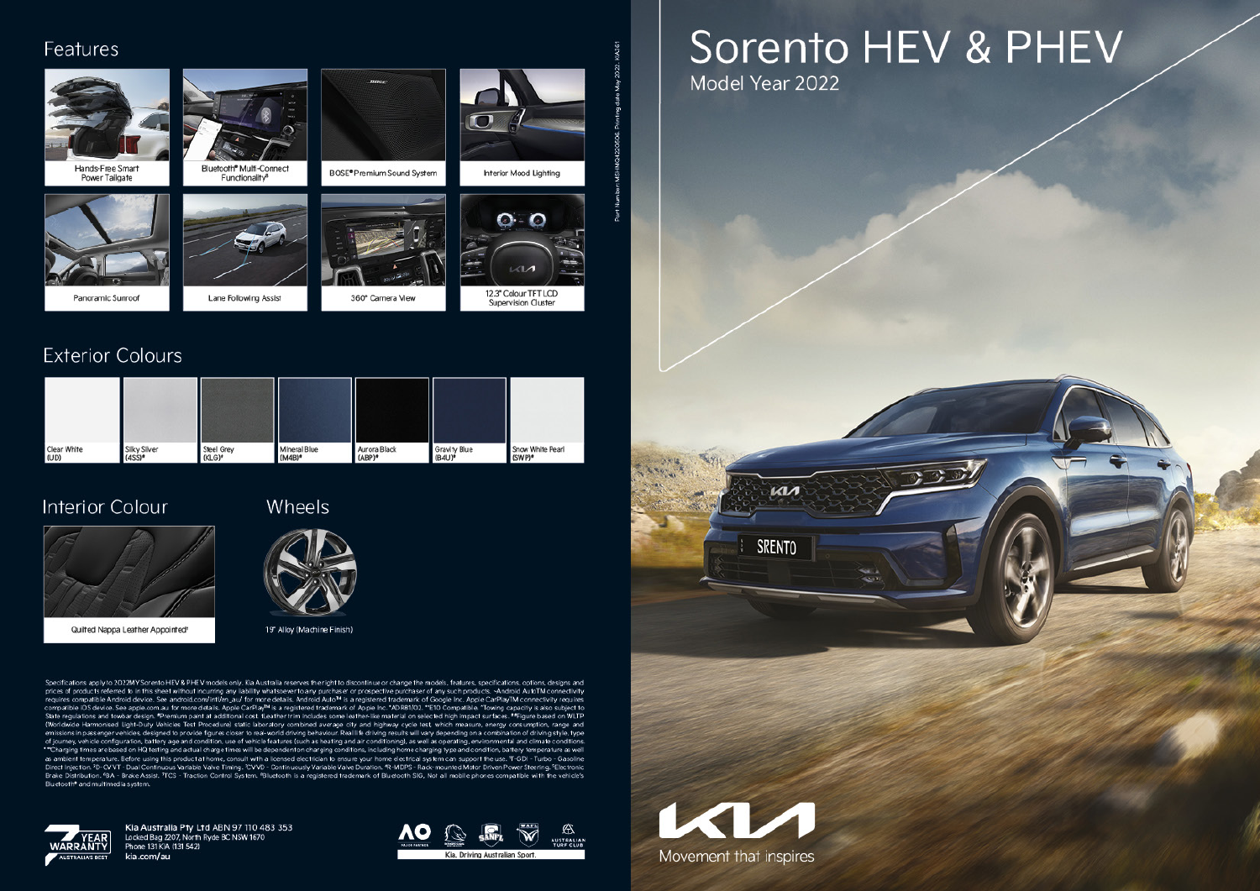#### Features



## **Exterior Colours**

| Clear White | Silky Silver | Steel Grey | Mineral Blue | Aurora Black | Gravity Blue | Snow White Pearl |
|-------------|--------------|------------|--------------|--------------|--------------|------------------|
| (UD)        | $(4SS)*$     | (KLG)*     | $(MAB)^*$    | $(ABP)^*$    | (B4U)*       | (SWP)*           |

### **Interior Colour**



Quilted Nappa Leather Appointed<sup>®</sup>

#### Wheels



19" Alloy (Machine Finish)

Specifications apply to 2022MY Sorento HEV & PHEV models only. Kia Australia reserves the right to discontinue or change the models, features, specifications, options, designs and prices of products referred to in this sheet without incurring any liability whatsoever to any purchaser or prospective purchaser of any such products. «Android AutoTM connectivity requires compatible Android device. See a State regulations and towbar design. \*Premium paint at additional cost. ILeather frim includes some leather-like material on selected high impact surfaces. \*\*Figure based on WLTP (Worldwide Harmonised Light-Duty Vehicles Test Procedure) static laboratory combined average city and highway cycle test which measure, energy consumption, range and emissions in passenger vehicles, designed to provide figures closer to real-world driving behaviour. Real life driving results will vary depending on a combination of driving style, type only and the configuration, battery age and condition, use of vehicle features (such as heating and air conditioning), as well as operating, environmental and climate conditions.<br>"Charging times are based on HQ testing and Bluetooth<sup>®</sup> and multimediasystem



Kia Australia Pty Ltd ABN 97110 483 353 Locked Bag 2207, North Ryde BC NSW 1670 Phone 131 KIA (131 542) kia.com/au



Supervision Cluster

# Sorento HEV & PHEV Model Year 2022

 $\mathbf{M}$ 

**SRENTO** 

 $\sim$ 

Movement that inspires